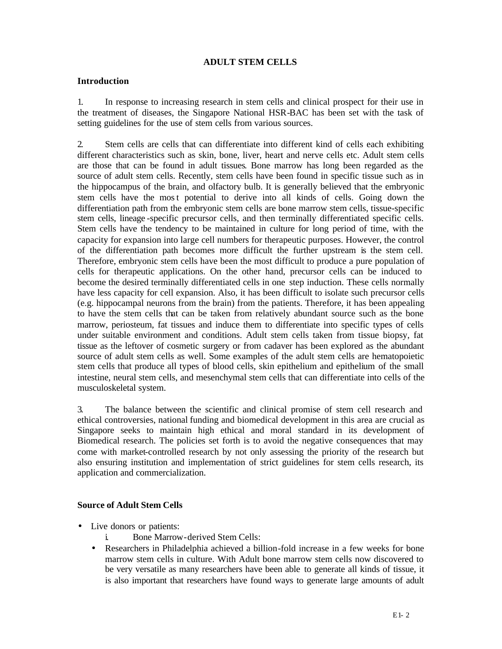## **ADULT STEM CELLS**

## **Introduction**

1. In response to increasing research in stem cells and clinical prospect for their use in the treatment of diseases, the Singapore National HSR-BAC has been set with the task of setting guidelines for the use of stem cells from various sources.

2. Stem cells are cells that can differentiate into different kind of cells each exhibiting different characteristics such as skin, bone, liver, heart and nerve cells etc. Adult stem cells are those that can be found in adult tissues. Bone marrow has long been regarded as the source of adult stem cells. Recently, stem cells have been found in specific tissue such as in the hippocampus of the brain, and olfactory bulb. It is generally believed that the embryonic stem cells have the most potential to derive into all kinds of cells. Going down the differentiation path from the embryonic stem cells are bone marrow stem cells, tissue-specific stem cells, lineage -specific precursor cells, and then terminally differentiated specific cells. Stem cells have the tendency to be maintained in culture for long period of time, with the capacity for expansion into large cell numbers for therapeutic purposes. However, the control of the differentiation path becomes more difficult the further upstream is the stem cell. Therefore, embryonic stem cells have been the most difficult to produce a pure population of cells for therapeutic applications. On the other hand, precursor cells can be induced to become the desired terminally differentiated cells in one step induction. These cells normally have less capacity for cell expansion. Also, it has been difficult to isolate such precursor cells (e.g. hippocampal neurons from the brain) from the patients. Therefore, it has been appealing to have the stem cells that can be taken from relatively abundant source such as the bone marrow, periosteum, fat tissues and induce them to differentiate into specific types of cells under suitable environment and conditions. Adult stem cells taken from tissue biopsy, fat tissue as the leftover of cosmetic surgery or from cadaver has been explored as the abundant source of adult stem cells as well. Some examples of the adult stem cells are hematopoietic stem cells that produce all types of blood cells, skin epithelium and epithelium of the small intestine, neural stem cells, and mesenchymal stem cells that can differentiate into cells of the musculoskeletal system.

3. The balance between the scientific and clinical promise of stem cell research and ethical controversies, national funding and biomedical development in this area are crucial as Singapore seeks to maintain high ethical and moral standard in its development of Biomedical research. The policies set forth is to avoid the negative consequences that may come with market-controlled research by not only assessing the priority of the research but also ensuring institution and implementation of strict guidelines for stem cells research, its application and commercialization.

#### **Source of Adult Stem Cells**

- Live donors or patients:
	- i. Bone Marrow-derived Stem Cells:
	- Researchers in Philadelphia achieved a billion-fold increase in a few weeks for bone marrow stem cells in culture. With Adult bone marrow stem cells now discovered to be very versatile as many researchers have been able to generate all kinds of tissue, it is also important that researchers have found ways to generate large amounts of adult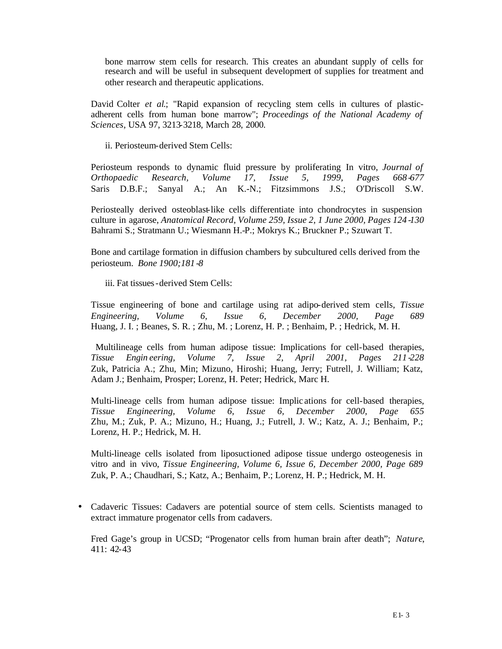bone marrow stem cells for research. This creates an abundant supply of cells for research and will be useful in subsequent development of supplies for treatment and other research and therapeutic applications.

David Colter *et al*.; "Rapid expansion of recycling stem cells in cultures of plasticadherent cells from human bone marrow"; *Proceedings of the National Academy of Sciences*, USA 97, 3213-3218, March 28, 2000.

ii. Periosteum-derived Stem Cells:

Periosteum responds to dynamic fluid pressure by proliferating In vitro, *Journal of Orthopaedic Research, Volume 17, Issue 5, 1999, Pages 668-677* Saris D.B.F.; Sanyal A.; An K.-N.; Fitzsimmons J.S.; O'Driscoll S.W.

Periosteally derived osteoblast-like cells differentiate into chondrocytes in suspension culture in agarose, *Anatomical Record, Volume 259, Issue 2, 1 June 2000, Pages 124 -130*  Bahrami S.; Stratmann U.; Wiesmann H.-P.; Mokrys K.; Bruckner P.; Szuwart T.

Bone and cartilage formation in diffusion chambers by subcultured cells derived from the periosteum. *Bone 1900;181 -8* 

iii. Fat tissues-derived Stem Cells:

Tissue engineering of bone and cartilage using rat adipo-derived stem cells, *Tissue Engineering, Volume 6, Issue 6, December 2000, Page 689* Huang, J. I. ; Beanes, S. R. ; Zhu, M. ; Lorenz, H. P. ; Benhaim, P. ; Hedrick, M. H.

 Multilineage cells from human adipose tissue: Implications for cell-based therapies, *Tissue Engin eering, Volume 7, Issue 2, April 2001, Pages 211 -228*  Zuk, Patricia A.; Zhu, Min; Mizuno, Hiroshi; Huang, Jerry; Futrell, J. William; Katz, Adam J.; Benhaim, Prosper; Lorenz, H. Peter; Hedrick, Marc H.

Multi-lineage cells from human adipose tissue: Implic ations for cell-based therapies, *Tissue Engineering, Volume 6, Issue 6, December 2000, Page 655* Zhu, M.; Zuk, P. A.; Mizuno, H.; Huang, J.; Futrell, J. W.; Katz, A. J.; Benhaim, P.; Lorenz, H. P.; Hedrick, M. H.

Multi-lineage cells isolated from liposuctioned adipose tissue undergo osteogenesis in vitro and in vivo, *Tissue Engineering, Volume 6, Issue 6, December 2000, Page 689*  Zuk, P. A.; Chaudhari, S.; Katz, A.; Benhaim, P.; Lorenz, H. P.; Hedrick, M. H.

• Cadaveric Tissues: Cadavers are potential source of stem cells. Scientists managed to extract immature progenator cells from cadavers.

Fred Gage's group in UCSD; "Progenator cells from human brain after death"; *Nature*, 411: 42-43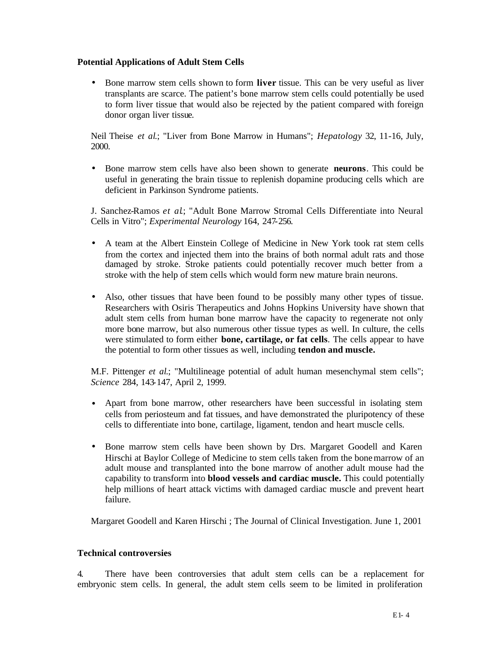## **Potential Applications of Adult Stem Cells**

• Bone marrow stem cells shown to form **liver** tissue. This can be very useful as liver transplants are scarce. The patient's bone marrow stem cells could potentially be used to form liver tissue that would also be rejected by the patient compared with foreign donor organ liver tissue.

Neil Theise *et al*.; "Liver from Bone Marrow in Humans"; *Hepatology* 32, 11-16, July, 2000.

• Bone marrow stem cells have also been shown to generate **neurons**. This could be useful in generating the brain tissue to replenish dopamine producing cells which are deficient in Parkinson Syndrome patients.

J. Sanchez-Ramos *et al*.; "Adult Bone Marrow Stromal Cells Differentiate into Neural Cells in Vitro"; *Experimental Neurology* 164, 247-256.

- A team at the Albert Einstein College of Medicine in New York took rat stem cells from the cortex and injected them into the brains of both normal adult rats and those damaged by stroke. Stroke patients could potentially recover much better from a stroke with the help of stem cells which would form new mature brain neurons.
- Also, other tissues that have been found to be possibly many other types of tissue. Researchers with Osiris Therapeutics and Johns Hopkins University have shown that adult stem cells from human bone marrow have the capacity to regenerate not only more bone marrow, but also numerous other tissue types as well. In culture, the cells were stimulated to form either **bone, cartilage, or fat cells**. The cells appear to have the potential to form other tissues as well, including **tendon and muscle.**

M.F. Pittenger *et al*.; "Multilineage potential of adult human mesenchymal stem cells"; *Science* 284, 143-147, April 2, 1999.

- Apart from bone marrow, other researchers have been successful in isolating stem cells from periosteum and fat tissues, and have demonstrated the pluripotency of these cells to differentiate into bone, cartilage, ligament, tendon and heart muscle cells.
- Bone marrow stem cells have been shown by Drs. Margaret Goodell and Karen Hirschi at Baylor College of Medicine to stem cells taken from the bone marrow of an adult mouse and transplanted into the bone marrow of another adult mouse had the capability to transform into **blood vessels and cardiac muscle.** This could potentially help millions of heart attack victims with damaged cardiac muscle and prevent heart failure.

Margaret Goodell and Karen Hirschi ; The Journal of Clinical Investigation. June 1, 2001

#### **Technical controversies**

4. There have been controversies that adult stem cells can be a replacement for embryonic stem cells. In general, the adult stem cells seem to be limited in proliferation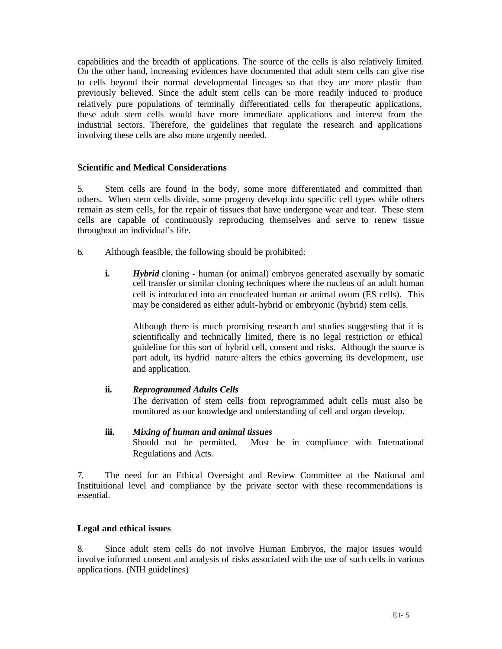capabilities and the breadth of applications. The source of the cells is also relatively limited. On the other hand, increasing evidences have documented that adult stem cells can give rise to cells beyond their normal developmental lineages so that they are more plastic than previously believed. Since the adult stem cells can be more readily induced to produce relatively pure populations of terminally differentiated cells for therapeutic applications, these adult stem cells would have more immediate applications and interest from the industrial sectors. Therefore, the guidelines that regulate the research and applications involving these cells are also more urgently needed.

#### **Scientific and Medical Considerations**

5. Stem cells are found in the body, some more differentiated and committed than others. When stem cells divide, some progeny develop into specific cell types while others remain as stem cells, for the repair of tissues that have undergone wear and tear. These stem cells are capable of continuously reproducing themselves and serve to renew tissue throughout an individual's life.

- 6. Although feasible, the following should be prohibited:
	- **i.** *Hybrid* cloning human (or animal) embryos generated asexually by somatic cell transfer or similar cloning techniques where the nucleus of an adult human cell is introduced into an enucleated human or animal ovum (ES cells). This may be considered as either adult-hybrid or embryonic (hybrid) stem cells.

Although there is much promising research and studies suggesting that it is scientifically and technically limited, there is no legal restriction or ethical guideline for this sort of hybrid cell, consent and risks. Although the source is part adult, its hydrid nature alters the ethics governing its development, use and application.

#### **ii.** *Reprogrammed Adults Cells*

The derivation of stem cells from reprogrammed adult cells must also be monitored as our knowledge and understanding of cell and organ develop.

**iii.** *Mixing of human and animal tissues* Should not be permitted. Must be in compliance with International Regulations and Acts.

7. The need for an Ethical Oversight and Review Committee at the National and Instituitional level and compliance by the private sector with these recommendations is essential.

#### **Legal and ethical issues**

8. Since adult stem cells do not involve Human Embryos, the major issues would involve informed consent and analysis of risks associated with the use of such cells in various applica tions. (NIH guidelines)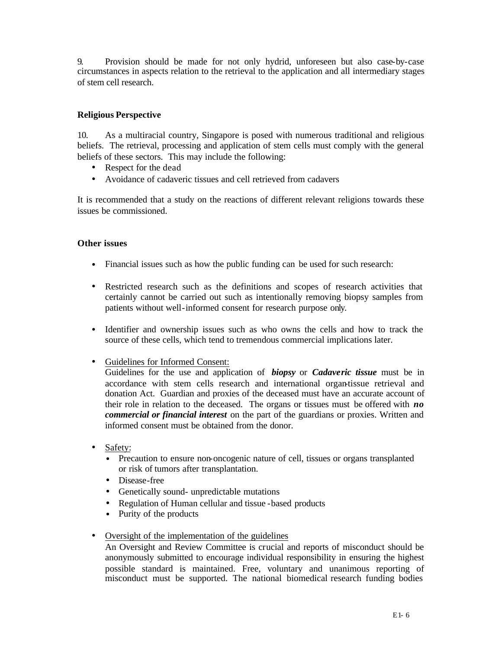9. Provision should be made for not only hydrid, unforeseen but also case-by-case circumstances in aspects relation to the retrieval to the application and all intermediary stages of stem cell research.

# **Religious Perspective**

10. As a multiracial country, Singapore is posed with numerous traditional and religious beliefs. The retrieval, processing and application of stem cells must comply with the general beliefs of these sectors. This may include the following:

- Respect for the dead
- Avoidance of cadaveric tissues and cell retrieved from cadavers

It is recommended that a study on the reactions of different relevant religions towards these issues be commissioned.

## **Other issues**

- Financial issues such as how the public funding can be used for such research:
- Restricted research such as the definitions and scopes of research activities that certainly cannot be carried out such as intentionally removing biopsy samples from patients without well-informed consent for research purpose only.
- Identifier and ownership issues such as who owns the cells and how to track the source of these cells, which tend to tremendous commercial implications later.
- Guidelines for Informed Consent:

Guidelines for the use and application of *biopsy* or *Cadaveric tissue* must be in accordance with stem cells research and international organ-tissue retrieval and donation Act. Guardian and proxies of the deceased must have an accurate account of their role in relation to the deceased. The organs or tissues must be offered with *no commercial or financial interest* on the part of the guardians or proxies. Written and informed consent must be obtained from the donor.

- Safety:
	- Precaution to ensure non-oncogenic nature of cell, tissues or organs transplanted or risk of tumors after transplantation.
	- Disease-free
	- Genetically sound- unpredictable mutations
	- Regulation of Human cellular and tissue -based products
	- Purity of the products
- Oversight of the implementation of the guidelines

An Oversight and Review Committee is crucial and reports of misconduct should be anonymously submitted to encourage individual responsibility in ensuring the highest possible standard is maintained. Free, voluntary and unanimous reporting of misconduct must be supported. The national biomedical research funding bodies